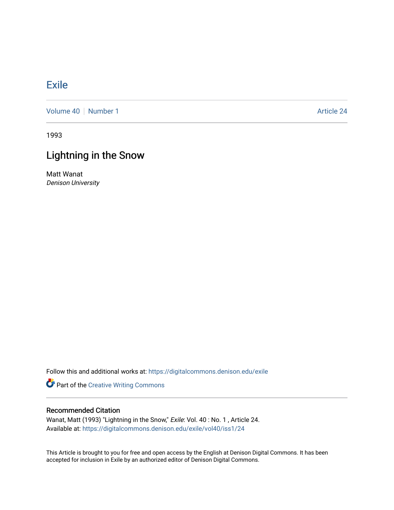## **[Exile](https://digitalcommons.denison.edu/exile)**

[Volume 40](https://digitalcommons.denison.edu/exile/vol40) [Number 1](https://digitalcommons.denison.edu/exile/vol40/iss1) Article 24

1993

## Lightning in the Snow

Matt Wanat Denison University

Follow this and additional works at: [https://digitalcommons.denison.edu/exile](https://digitalcommons.denison.edu/exile?utm_source=digitalcommons.denison.edu%2Fexile%2Fvol40%2Fiss1%2F24&utm_medium=PDF&utm_campaign=PDFCoverPages) 

Part of the [Creative Writing Commons](http://network.bepress.com/hgg/discipline/574?utm_source=digitalcommons.denison.edu%2Fexile%2Fvol40%2Fiss1%2F24&utm_medium=PDF&utm_campaign=PDFCoverPages) 

## Recommended Citation

Wanat, Matt (1993) "Lightning in the Snow," Exile: Vol. 40: No. 1, Article 24. Available at: [https://digitalcommons.denison.edu/exile/vol40/iss1/24](https://digitalcommons.denison.edu/exile/vol40/iss1/24?utm_source=digitalcommons.denison.edu%2Fexile%2Fvol40%2Fiss1%2F24&utm_medium=PDF&utm_campaign=PDFCoverPages)

This Article is brought to you for free and open access by the English at Denison Digital Commons. It has been accepted for inclusion in Exile by an authorized editor of Denison Digital Commons.